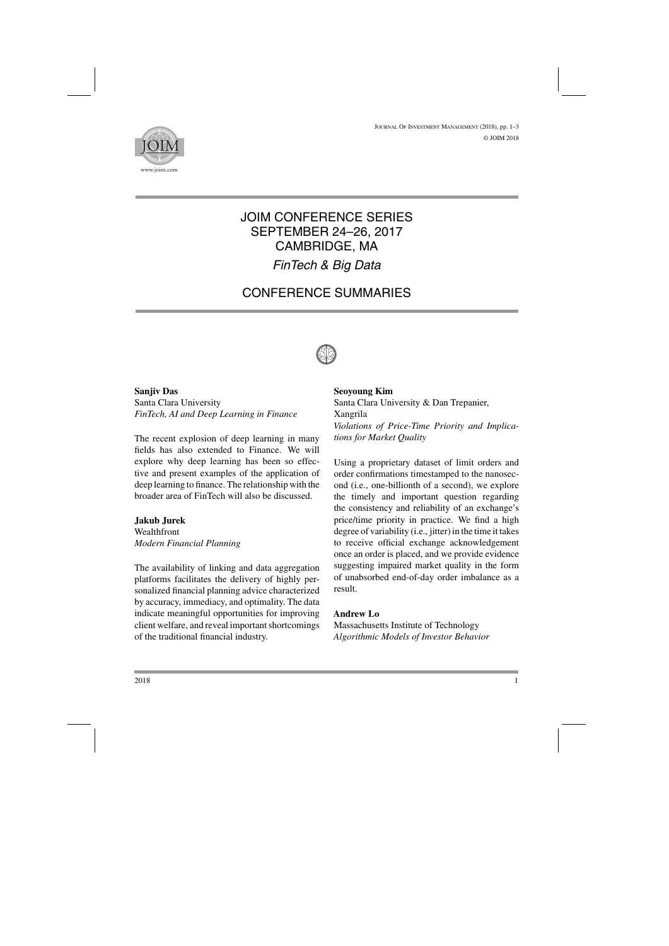

## JOIM CONFERENCE SERIES SEPTEMBER 24–26, 2017 CAMBRIDGE, MA *FinTech & Big Data*

# CONFERENCE SUMMARIES



#### **Sanjiv Das** Santa Clara University *FinTech, AI and Deep Learning in Finance*

The recent explosion of deep learning in many fields has also extended to Finance. We will explore why deep learning has been so effective and present examples of the application of deep learning to finance. The relationship with the broader area of FinTech will also be discussed.

#### **Jakub Jurek**

Wealthfront *Modern Financial Planning*

The availability of linking and data aggregation platforms facilitates the delivery of highly personalized financial planning advice characterized by accuracy, immediacy, and optimality. The data indicate meaningful opportunities for improving client welfare, and reveal important shortcomings of the traditional financial industry.

#### **Seoyoung Kim**

Santa Clara University & Dan Trepanier, Xangrila *Violations of Price-Time Priority and Implications for Market Quality*

Using a proprietary dataset of limit orders and order confirmations timestamped to the nanosecond (i.e., one-billionth of a second), we explore the timely and important question regarding the consistency and reliability of an exchange's price/time priority in practice. We find a high degree of variability (i.e., jitter) in the time it takes to receive official exchange acknowledgement once an order is placed, and we provide evidence suggesting impaired market quality in the form of unabsorbed end-of-day order imbalance as a result.

#### **Andrew Lo**

Massachusetts Institute of Technology *Algorithmic Models of Investor Behavior*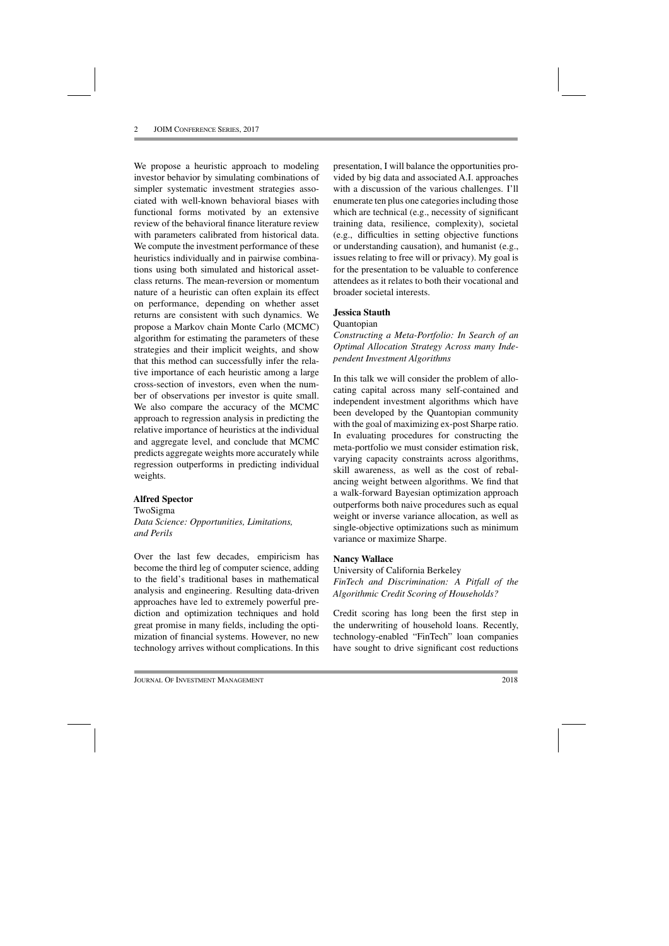We propose a heuristic approach to modeling investor behavior by simulating combinations of simpler systematic investment strategies associated with well-known behavioral biases with functional forms motivated by an extensive review of the behavioral finance literature review with parameters calibrated from historical data. We compute the investment performance of these heuristics individually and in pairwise combinations using both simulated and historical assetclass returns. The mean-reversion or momentum nature of a heuristic can often explain its effect on performance, depending on whether asset returns are consistent with such dynamics. We propose a Markov chain Monte Carlo (MCMC) algorithm for estimating the parameters of these strategies and their implicit weights, and show that this method can successfully infer the relative importance of each heuristic among a large cross-section of investors, even when the number of observations per investor is quite small. We also compare the accuracy of the MCMC approach to regression analysis in predicting the relative importance of heuristics at the individual and aggregate level, and conclude that MCMC predicts aggregate weights more accurately while regression outperforms in predicting individual weights.

#### **Alfred Spector**

TwoSigma *Data Science: Opportunities, Limitations, and Perils*

Over the last few decades, empiricism has become the third leg of computer science, adding to the field's traditional bases in mathematical analysis and engineering. Resulting data-driven approaches have led to extremely powerful prediction and optimization techniques and hold great promise in many fields, including the optimization of financial systems. However, no new technology arrives without complications. In this

presentation, I will balance the opportunities provided by big data and associated A.I. approaches with a discussion of the various challenges. I'll enumerate ten plus one categories including those which are technical (e.g., necessity of significant training data, resilience, complexity), societal (e.g., difficulties in setting objective functions or understanding causation), and humanist (e.g., issues relating to free will or privacy). My goal is for the presentation to be valuable to conference attendees as it relates to both their vocational and broader societal interests.

### **Jessica Stauth**

#### Quantopian

*Constructing a Meta-Portfolio: In Search of an Optimal Allocation Strategy Across many Independent Investment Algorithms*

In this talk we will consider the problem of allocating capital across many self-contained and independent investment algorithms which have been developed by the Quantopian community with the goal of maximizing ex-post Sharpe ratio. In evaluating procedures for constructing the meta-portfolio we must consider estimation risk, varying capacity constraints across algorithms, skill awareness, as well as the cost of rebalancing weight between algorithms. We find that a walk-forward Bayesian optimization approach outperforms both naive procedures such as equal weight or inverse variance allocation, as well as single-objective optimizations such as minimum variance or maximize Sharpe.

#### **Nancy Wallace**

University of California Berkeley *FinTech and Discrimination: A Pitfall of the Algorithmic Credit Scoring of Households?*

Credit scoring has long been the first step in the underwriting of household loans. Recently, technology-enabled "FinTech" loan companies have sought to drive significant cost reductions